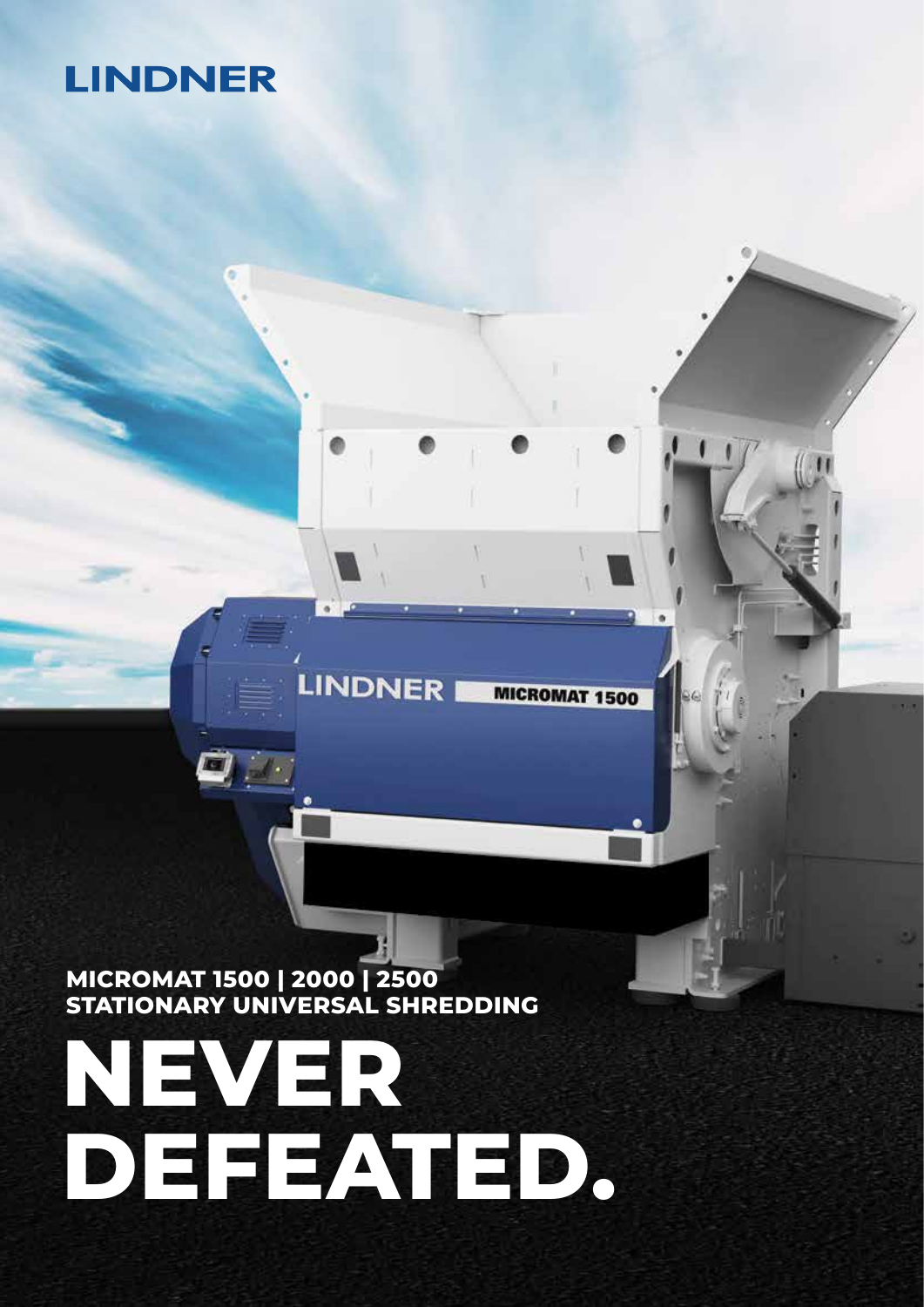# **LINDNER**

**MICROMAT 1500 | 2000 | 2500 STATIONARY UNIVERSAL SHREDDING**

# **NEVER DEFEATED.**

**LINDNER** 

**MICROMAT 1500**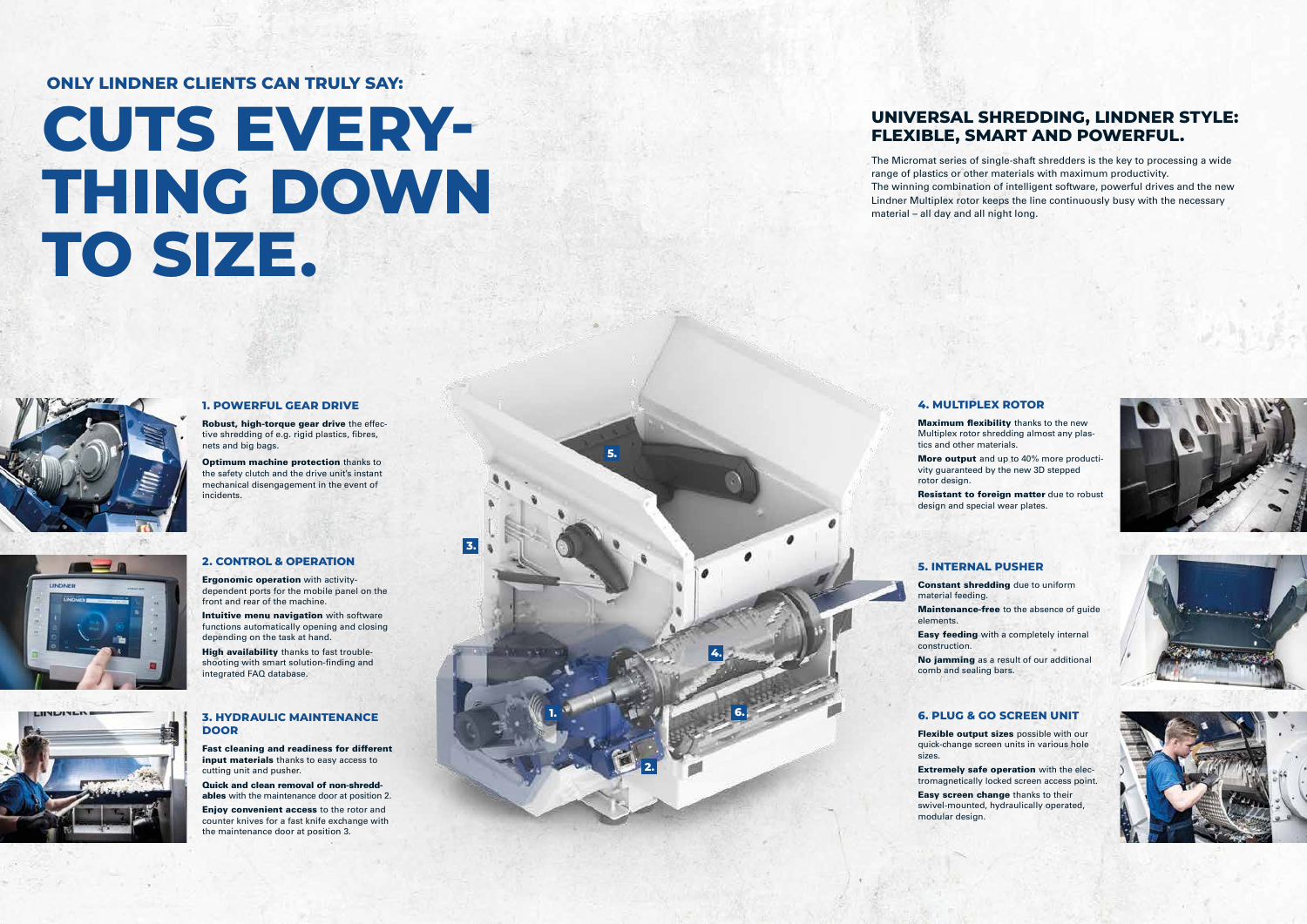**1.**

**2.**

**3.**

**4.**

**5.**

#### **6. 3. HYDRAULIC MAINTENANCE DOOR**

Fast cleaning and readiness for different input materials thanks to easy access to cutting unit and pusher.

Quick and clean removal of non-shreddables with the maintenance door at position 2.

Enjoy convenient access to the rotor and counter knives for a fast knife exchange with the maintenance door at position 3.

**Optimum machine protection thanks to** the safety clutch and the drive unit's instant mechanical disengagement in the event of incidents.



### **1. POWERFUL GEAR DRIVE**

Intuitive menu navigation with software functions automatically opening and closing depending on the task at hand.

Robust, high-torque gear drive the effective shredding of e.g. rigid plastics, fibres, nets and big bags.

High availability thanks to fast troubleshooting with smart solution-finding and integrated FAQ database.



## **2. CONTROL & OPERATION**

**Maximum flexibility** thanks to the new Multiplex rotor shredding almost any plas-

Ergonomic operation with activitydependent ports for the mobile panel on the front and rear of the machine.

More output and up to 40% more productivity guaranteed by the new 3D stepped







Flexible output sizes possible with our quick-change screen units in various hole sizes.

## **5. INTERNAL PUSHER**

Constant shredding due to uniform material feeding. Maintenance-free to the absence of guide elements.

Easy feeding with a completely internal construction.

No jamming as a result of our additional comb and sealing bars.

# **4. MULTIPLEX ROTOR**

tics and other materials.

rotor design.

Resistant to foreign matter due to robust design and special wear plates.

# **6. PLUG & GO SCREEN UNIT**

Extremely safe operation with the electromagnetically locked screen access point. Easy screen change thanks to their swivel-mounted, hydraulically operated,

modular design.

# **CUTS EVERY-THING DOWN TO SIZE.**



# **ONLY LINDNER CLIENTS CAN TRULY SAY:**

# **UNIVERSAL SHREDDING, LINDNER STYLE: FLEXIBLE, SMART AND POWERFUL.**

The Micromat series of single-shaft shredders is the key to processing a wide range of plastics or other materials with maximum productivity. The winning combination of intelligent software, powerful drives and the new Lindner Multiplex rotor keeps the line continuously busy with the necessary material – all day and all night long.